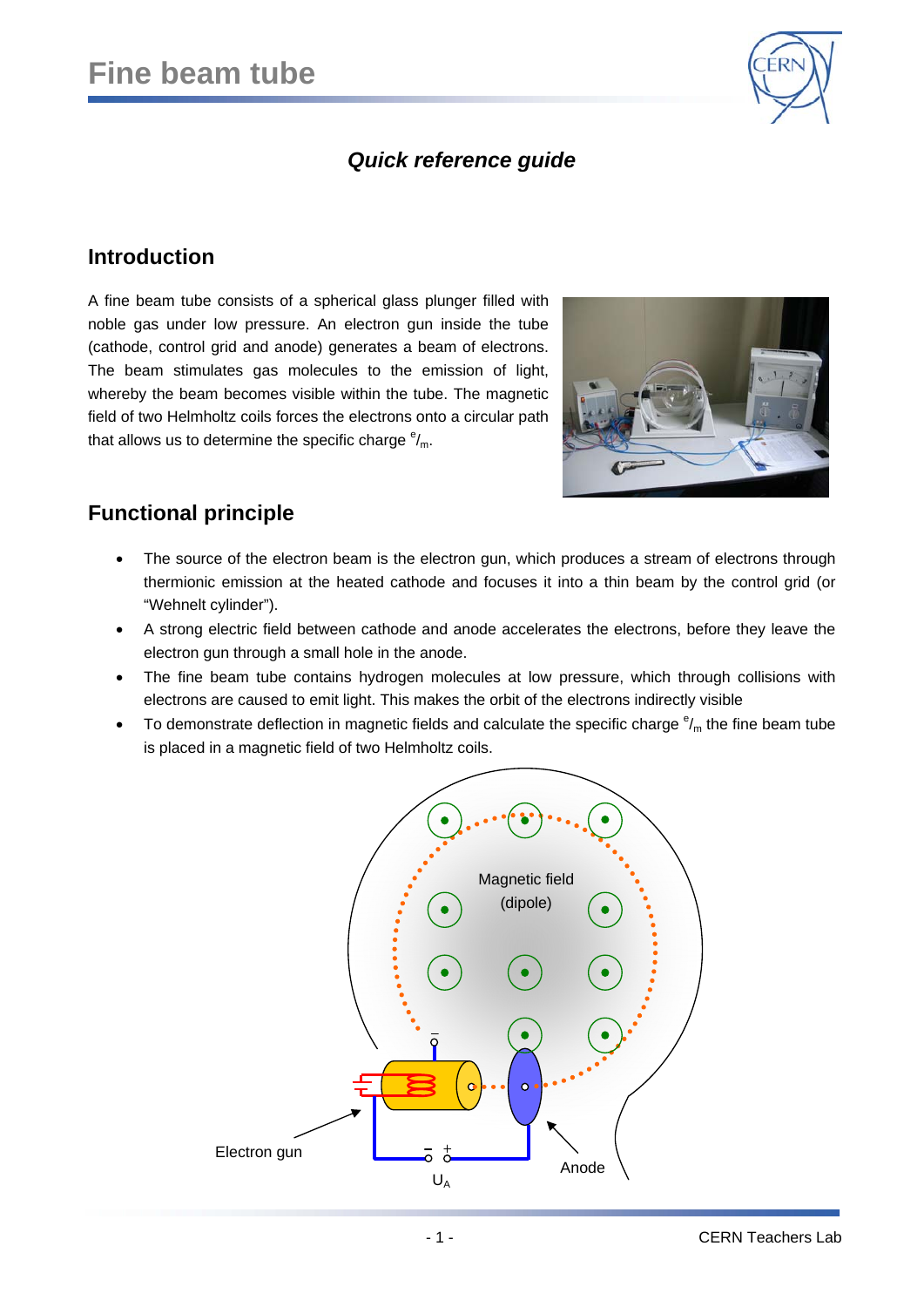

## *Quick reference guide*

### **Introduction**

A fine beam tube consists of a spherical glass plunger filled with noble gas under low pressure. An electron gun inside the tube (cathode, control grid and anode) generates a beam of electrons. The beam stimulates gas molecules to the emission of light, whereby the beam becomes visible within the tube. The magnetic field of two Helmholtz coils forces the electrons onto a circular path that allows us to determine the specific charge  $e_{m}$ .



## **Functional principle**

- The source of the electron beam is the electron gun, which produces a stream of electrons through thermionic emission at the heated cathode and focuses it into a thin beam by the control grid (or "Wehnelt cylinder").
- A strong electric field between cathode and anode accelerates the electrons, before they leave the electron gun through a small hole in the anode.
- The fine beam tube contains hydrogen molecules at low pressure, which through collisions with electrons are caused to emit light. This makes the orbit of the electrons indirectly visible
- $\bullet$  To demonstrate deflection in magnetic fields and calculate the specific charge  $e_{m}$  the fine beam tube is placed in a magnetic field of two Helmholtz coils.

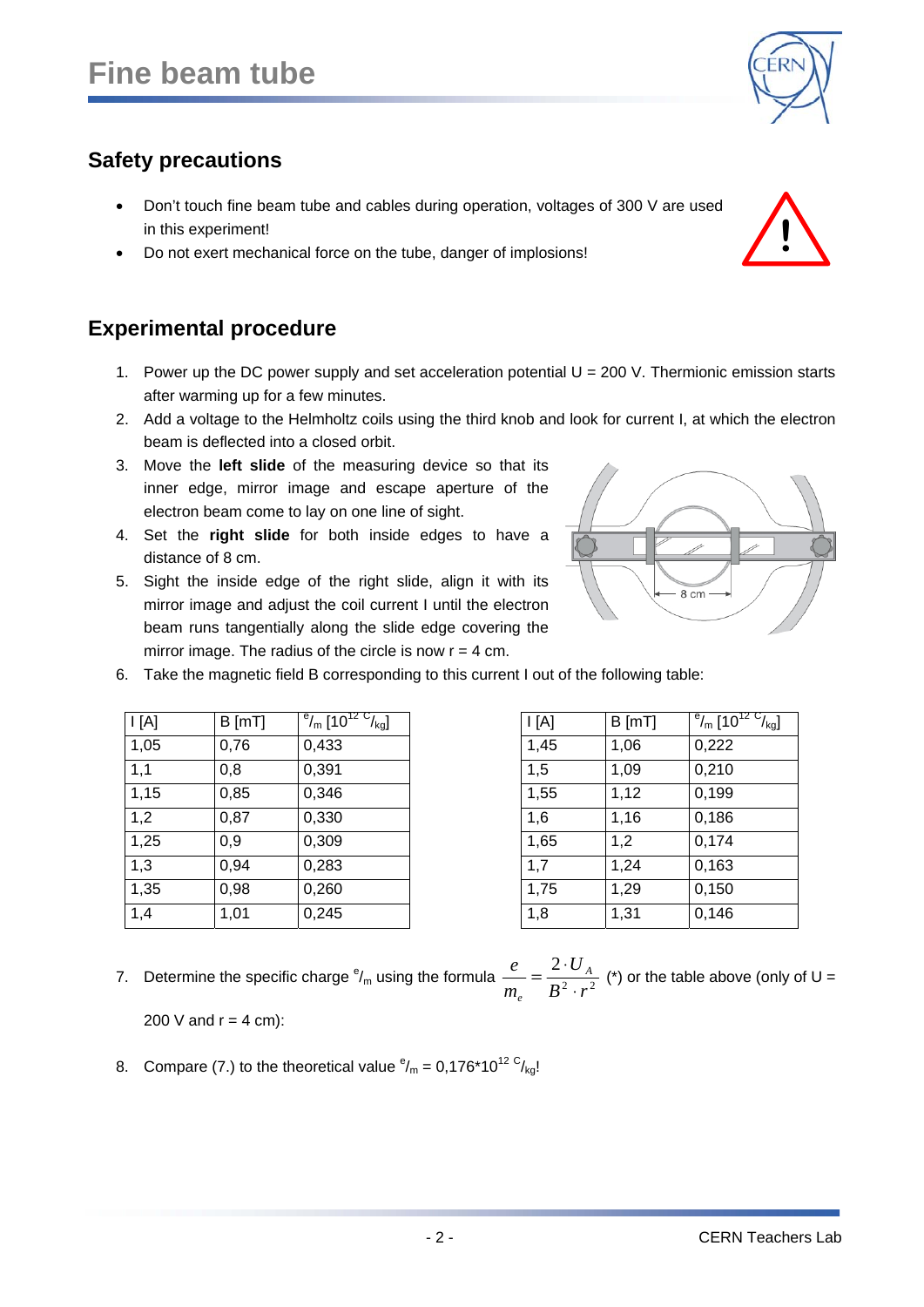# **Safety precautions**

- Don't touch fine beam tube and cables during operation, voltages of 300 V are used in this experiment!
- Do not exert mechanical force on the tube, danger of implosions!

## **Experimental procedure**

 $I[A]$  B [mT]

- 1. Power up the DC power supply and set acceleration potential  $U = 200$  V. Thermionic emission starts after warming up for a few minutes.
- 2. Add a voltage to the Helmholtz coils using the third knob and look for current I, at which the electron beam is deflected into a closed orbit.
- 3. Move the **left slide** of the measuring device so that its inner edge, mirror image and escape aperture of the electron beam come to lay on one line of sight.
- 4. Set the **right slide** for both inside edges to have a distance of 8 cm.
- 5. Sight the inside edge of the right slide, align it with its mirror image and adjust the coil current I until the electron beam runs tangentially along the slide edge covering the mirror image. The radius of the circle is now  $r = 4$  cm.

 $\mathrm{eV_{m}}$  [10 $\mathrm{^{12}}$   $\mathrm{^{C}V_{kol}}$ ]

6. Take the magnetic field B corresponding to this current I out of the following table:

1,05 0,76 0,433 1,45 1,06 0,222 1,1 0,8 0,391 1,5 1,09 0,210 1,15 0,85 0,346 1,55 1,12 0,199 1,2 0,87 0,330 1,6 1,16 0,186 1,25 0,9 0,309 1,65 1,2 0,174 1,3 0,94 0,283 1,7 1,24 0,163 1,35 0,98 0,260 1,75 1,29 0,150 1,4 1,01 0,245 1,8 1,31 0,146

| 7. Determine the specific charge $^e/_{m}$ using the formula $\frac{e}{m_e} = \frac{2 \cdot U_A}{B^2 \cdot r^2}$ (*) or the table above (only of U = |  |
|------------------------------------------------------------------------------------------------------------------------------------------------------|--|
| 200 V and $r = 4$ cm):                                                                                                                               |  |

8. Compare (7.) to the theoretical value  $\frac{e}{m} = 0.176 \times 10^{12} \frac{C}{kg}$ !



 $\mathcal{V}_{\mathsf{m}}$  [10 $^{12}$   $\mathsf{C}_{\mathsf{kg}}$ ]

 $I[A]$  B [mT]